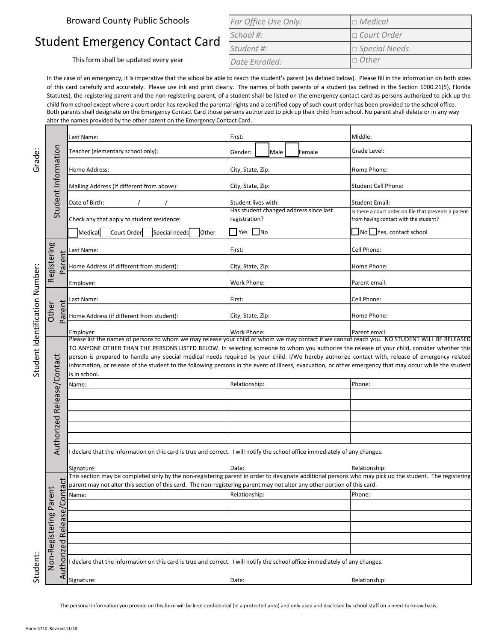Broward County Public Schools

## Student Emergency Contact Card

This form shall be updated every year

| For Office Use Only: | $\Box$ Medical       |
|----------------------|----------------------|
| School #:            | $\Box$ Court Order   |
| Student #:           | $\Box$ Special Needs |
| Date Enrolled:       | $\Box$ Other         |

In the case of an emergency, it is imperative that the school be able to reach the student's parent (as defined below). Please fill in the information on both sides of this card carefully and accurately. Please use ink and print clearly. The names of both parents of a student (as defined in the Section 1000.21(5), Florida Statutes), the registering parent and the non-registering parent, of a student shall be listed on the emergency contact card as persons authorized to pick up the child from school except where a court order has revoked the parental rights and a certified copy of such court order has been provided to the school office. Both parents shall designate on the Emergency Contact Card those persons authorized to pick up their child from school. No parent shall delete or in any way alter the names provided by the other parent on the Emergency Contact Card.

| Grade:<br>Student Identification Number | Student Information                 | Last Name:                                                                                                                                                                                                                                                                                                                   | First:               |                                                         |  |             | Middle:                                                                                        |
|-----------------------------------------|-------------------------------------|------------------------------------------------------------------------------------------------------------------------------------------------------------------------------------------------------------------------------------------------------------------------------------------------------------------------------|----------------------|---------------------------------------------------------|--|-------------|------------------------------------------------------------------------------------------------|
|                                         |                                     | Teacher (elementary school only):                                                                                                                                                                                                                                                                                            | Gender:              | Male                                                    |  | Female      | Grade Level:                                                                                   |
|                                         |                                     | Home Address:                                                                                                                                                                                                                                                                                                                | City, State, Zip:    |                                                         |  | Home Phone: |                                                                                                |
|                                         |                                     | Mailing Address (If different from above):                                                                                                                                                                                                                                                                                   |                      | City, State, Zip:                                       |  |             | <b>Student Cell Phone:</b>                                                                     |
|                                         |                                     | Date of Birth:                                                                                                                                                                                                                                                                                                               |                      | Student lives with:                                     |  |             | <b>Student Email:</b>                                                                          |
|                                         |                                     | Check any that apply to student residence:                                                                                                                                                                                                                                                                                   |                      | Has student changed address since last<br>registration? |  |             | Is there a court order on file that prevents a parent<br>from having contact with the student? |
|                                         |                                     | Court Order<br>Special needs<br>Medical<br><b>Other</b>                                                                                                                                                                                                                                                                      | $\Box$ Yes $\Box$ No |                                                         |  |             | $\Box$ No $\Box$ Yes, contact school                                                           |
|                                         |                                     | Last Name:                                                                                                                                                                                                                                                                                                                   | First:               |                                                         |  |             | Cell Phone:                                                                                    |
|                                         | Registering<br>Parent               | Home Address (if different from student):                                                                                                                                                                                                                                                                                    |                      | City, State, Zip:                                       |  |             | Home Phone:                                                                                    |
|                                         |                                     | Employer:                                                                                                                                                                                                                                                                                                                    |                      | Work Phone:                                             |  |             | Parent email:                                                                                  |
|                                         |                                     | Last Name:                                                                                                                                                                                                                                                                                                                   | First:               |                                                         |  |             | Cell Phone:                                                                                    |
|                                         | Parent<br>Other                     | Home Address (if different from student):                                                                                                                                                                                                                                                                                    | City, State, Zip:    |                                                         |  |             | Home Phone:                                                                                    |
|                                         |                                     | Employer:                                                                                                                                                                                                                                                                                                                    | Work Phone:          |                                                         |  |             | Parent email:                                                                                  |
|                                         |                                     | Please list the names of persons to whom we may release your child or whom we may contact if we cannot reach you. NO STUDENT WILL BE RELEASED<br>TO ANYONE OTHER THAN THE PERSONS LISTED BELOW. In selecting someone to whom you authorize the release of your child, consider whether this                                  |                      |                                                         |  |             |                                                                                                |
|                                         |                                     | person is prepared to handle any special medical needs required by your child. I/We hereby authorize contact with, release of emergency related<br>information, or release of the student to the following persons in the event of illness, evacuation, or other emergency that may occur while the student<br>is in school. |                      |                                                         |  |             |                                                                                                |
|                                         | Authorized Release/Contact          | Name:                                                                                                                                                                                                                                                                                                                        | Relationship:        |                                                         |  |             | Phone:                                                                                         |
|                                         |                                     |                                                                                                                                                                                                                                                                                                                              |                      |                                                         |  |             |                                                                                                |
|                                         |                                     |                                                                                                                                                                                                                                                                                                                              |                      |                                                         |  |             |                                                                                                |
|                                         |                                     |                                                                                                                                                                                                                                                                                                                              |                      |                                                         |  |             |                                                                                                |
|                                         |                                     |                                                                                                                                                                                                                                                                                                                              |                      |                                                         |  |             |                                                                                                |
|                                         |                                     |                                                                                                                                                                                                                                                                                                                              |                      |                                                         |  |             |                                                                                                |
|                                         |                                     | I declare that the information on this card is true and correct. I will notify the school office immediately of any changes.                                                                                                                                                                                                 |                      |                                                         |  |             |                                                                                                |
|                                         |                                     | Signature:                                                                                                                                                                                                                                                                                                                   | Date:                |                                                         |  |             | Relationship:                                                                                  |
|                                         |                                     | This section may be completed only by the non-registering parent in order to designate additional persons who may pick up the student. The registering                                                                                                                                                                       |                      |                                                         |  |             |                                                                                                |
|                                         |                                     | parent may not alter this section of this card. The non-registering parent may not alter any other portion of this card.                                                                                                                                                                                                     |                      |                                                         |  |             |                                                                                                |
|                                         |                                     | Name:                                                                                                                                                                                                                                                                                                                        | Relationship:        |                                                         |  |             | Phone:                                                                                         |
|                                         |                                     |                                                                                                                                                                                                                                                                                                                              |                      |                                                         |  |             |                                                                                                |
|                                         | Release/Con                         |                                                                                                                                                                                                                                                                                                                              |                      |                                                         |  |             |                                                                                                |
|                                         |                                     |                                                                                                                                                                                                                                                                                                                              |                      |                                                         |  |             |                                                                                                |
|                                         |                                     |                                                                                                                                                                                                                                                                                                                              |                      |                                                         |  |             |                                                                                                |
|                                         |                                     |                                                                                                                                                                                                                                                                                                                              |                      |                                                         |  |             |                                                                                                |
| Student                                 | Non-Registering Parei<br>Authorized | declare that the information on this card is true and correct. I will notify the school office immediately of any changes.                                                                                                                                                                                                   |                      |                                                         |  |             |                                                                                                |
|                                         |                                     | Signature:                                                                                                                                                                                                                                                                                                                   | Date:                |                                                         |  |             | Relationship:                                                                                  |

The personal information you provide on this form will be kept confidential (in a protected area) and only used and disclosed by school staff on a need-to-know basis.